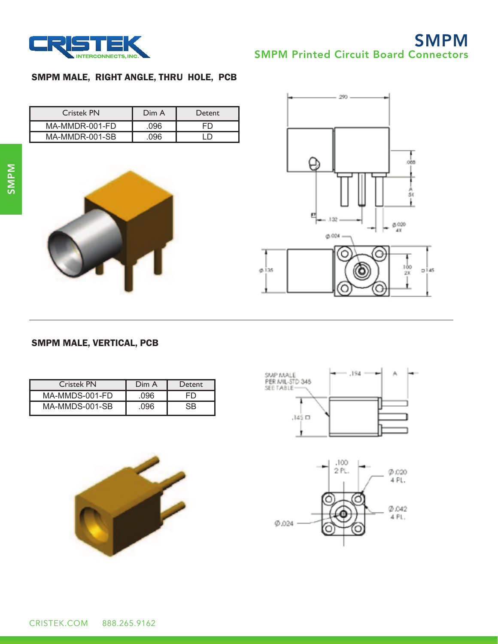

# **SMPM** SMPM Printed Circuit Board Connectors

### SMPM MALE, RIGHT ANGLE, THRU HOLE, PCB

| <b>Cristek PN</b> | Dim A | Detent |
|-------------------|-------|--------|
| MA-MMDR-001-FD    | 096   |        |
| MA-MMDR-001-SB    |       |        |





#### SMPM MALE, VERTICAL, PCB

| <b>Cristek PN</b> | Dim A | Detent |
|-------------------|-------|--------|
| MA-MMDS-001-FD    | .096  | FŊ     |
| MA-MMDS-001-SB    | .096  | SR.    |





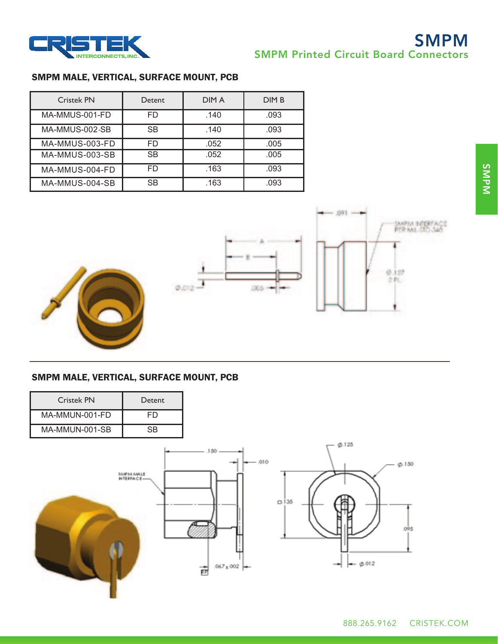

## SMPM **SMPM Printed Circuit Board Connectors**

### SMPM MALE, VERTICAL, SURFACE MOUNT, PCB

| <b>Cristek PN</b> | Detent    | <b>DIMA</b> | <b>DIMB</b> |
|-------------------|-----------|-------------|-------------|
| MA-MMUS-001-FD    | FD        | .140        | .093        |
| MA-MMUS-002-SB    | <b>SB</b> | .140        | .093        |
| MA-MMUS-003-FD    | FD        | .052        | .005        |
| MA-MMUS-003-SB    | <b>SB</b> | .052        | .005        |
| MA-MMUS-004-FD    | FD        | .163        | .093        |
| MA-MMUS-004-SB    | SB        | .163        | .093        |





### SMPM MALE, VERTICAL, SURFACE MOUNT, PCB

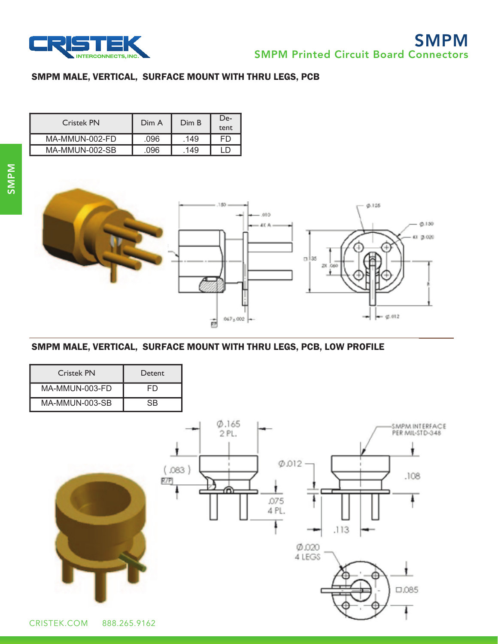

#### SMPM MALE, VERTICAL, SURFACE MOUNT WITH THRU LEGS, PCB

| Cristek PN     | Dim A | Dim B | De-<br>tent |
|----------------|-------|-------|-------------|
| MA-MMUN-002-FD | .096  | .149  | FD          |
| MA-MMUN-002-SB | 096   | 149   |             |



## SMPM MALE, VERTICAL, SURFACE MOUNT WITH THRU LEGS, PCB, LOW PROFILE

| Cristek PN     | Detent                       |                                                                 |                                                                  |
|----------------|------------------------------|-----------------------------------------------------------------|------------------------------------------------------------------|
| MA-MMUN-003-FD | <b>FD</b>                    |                                                                 |                                                                  |
| MA-MMUN-003-SB | $\overline{\text{SB}}$       |                                                                 |                                                                  |
| CRISTEK.COM    | .083)<br>RTP<br>888.265.9162 | 0.165<br>2PL.<br>Ø.012<br>⋒<br>.075<br>4 PL.<br>Ø.020<br>4 LEGS | SMPM INTERFACE<br>PER MIL-STD-348<br>.108<br>.113<br>क़<br>□.085 |

**714-696-5200 www.cristek.com Page 47**